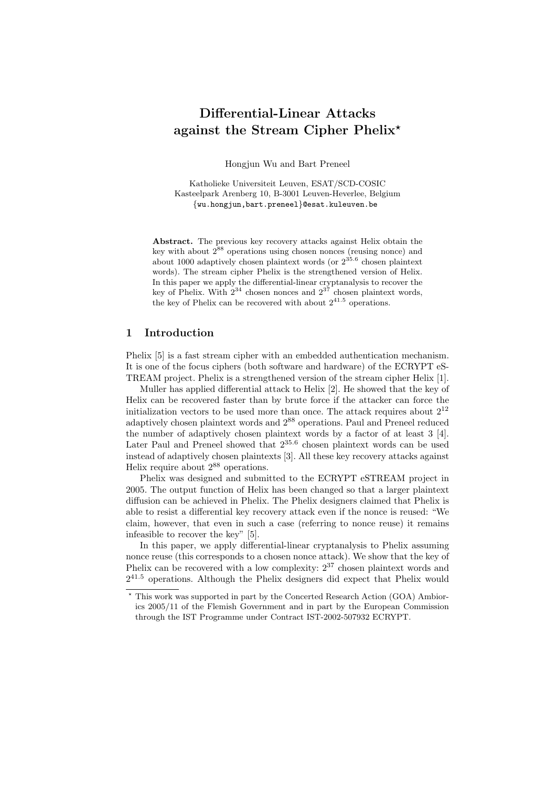# Differential-Linear Attacks against the Stream Cipher Phelix?

Hongjun Wu and Bart Preneel

Katholieke Universiteit Leuven, ESAT/SCD-COSIC Kasteelpark Arenberg 10, B-3001 Leuven-Heverlee, Belgium {wu.hongjun,bart.preneel}@esat.kuleuven.be

Abstract. The previous key recovery attacks against Helix obtain the key with about  $2^{88}$  operations using chosen nonces (reusing nonce) and about 1000 adaptively chosen plaintext words (or  $2^{35.6}$  chosen plaintext words). The stream cipher Phelix is the strengthened version of Helix. In this paper we apply the differential-linear cryptanalysis to recover the key of Phelix. With  $2^{34}$  chosen nonces and  $2^{37}$  chosen plaintext words, the key of Phelix can be recovered with about  $2^{41.5}$  operations.

### 1 Introduction

Phelix [5] is a fast stream cipher with an embedded authentication mechanism. It is one of the focus ciphers (both software and hardware) of the ECRYPT eS-TREAM project. Phelix is a strengthened version of the stream cipher Helix [1].

Muller has applied differential attack to Helix [2]. He showed that the key of Helix can be recovered faster than by brute force if the attacker can force the initialization vectors to be used more than once. The attack requires about  $2^{12}$ adaptively chosen plaintext words and 2<sup>88</sup> operations. Paul and Preneel reduced the number of adaptively chosen plaintext words by a factor of at least 3 [4]. Later Paul and Preneel showed that  $2^{35.6}$  chosen plaintext words can be used instead of adaptively chosen plaintexts [3]. All these key recovery attacks against Helix require about 2<sup>88</sup> operations.

Phelix was designed and submitted to the ECRYPT eSTREAM project in 2005. The output function of Helix has been changed so that a larger plaintext diffusion can be achieved in Phelix. The Phelix designers claimed that Phelix is able to resist a differential key recovery attack even if the nonce is reused: "We claim, however, that even in such a case (referring to nonce reuse) it remains infeasible to recover the key" [5].

In this paper, we apply differential-linear cryptanalysis to Phelix assuming nonce reuse (this corresponds to a chosen nonce attack). We show that the key of Phelix can be recovered with a low complexity:  $2^{37}$  chosen plaintext words and 2 <sup>41</sup>.<sup>5</sup> operations. Although the Phelix designers did expect that Phelix would

<sup>?</sup> This work was supported in part by the Concerted Research Action (GOA) Ambiorics 2005/11 of the Flemish Government and in part by the European Commission through the IST Programme under Contract IST-2002-507932 ECRYPT.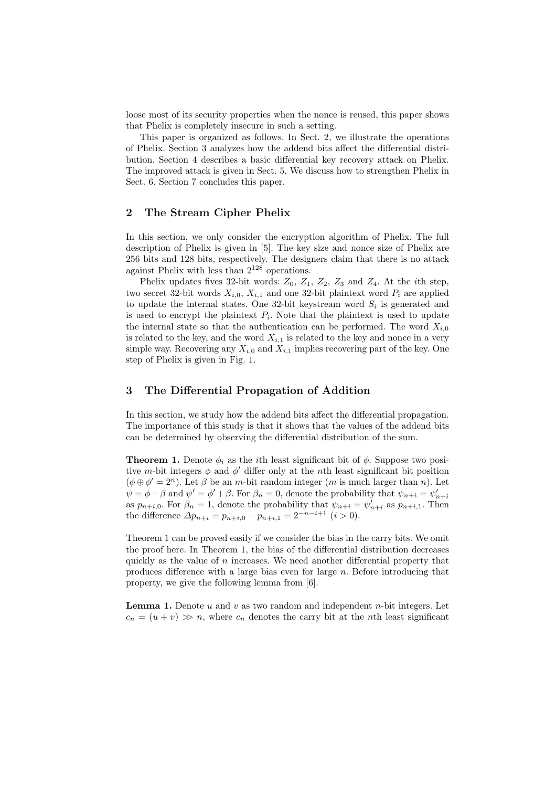loose most of its security properties when the nonce is reused, this paper shows that Phelix is completely insecure in such a setting.

This paper is organized as follows. In Sect. 2, we illustrate the operations of Phelix. Section 3 analyzes how the addend bits affect the differential distribution. Section 4 describes a basic differential key recovery attack on Phelix. The improved attack is given in Sect. 5. We discuss how to strengthen Phelix in Sect. 6. Section 7 concludes this paper.

## 2 The Stream Cipher Phelix

In this section, we only consider the encryption algorithm of Phelix. The full description of Phelix is given in [5]. The key size and nonce size of Phelix are 256 bits and 128 bits, respectively. The designers claim that there is no attack against Phelix with less than 2<sup>128</sup> operations.

Phelix updates fives 32-bit words:  $Z_0$ ,  $Z_1$ ,  $Z_2$ ,  $Z_3$  and  $Z_4$ . At the *i*th step, two secret 32-bit words  $X_{i,0}$ ,  $X_{i,1}$  and one 32-bit plaintext word  $P_i$  are applied to update the internal states. One 32-bit keystream word  $S_i$  is generated and is used to encrypt the plaintext  $P_i$ . Note that the plaintext is used to update the internal state so that the authentication can be performed. The word  $X_{i,0}$ is related to the key, and the word  $X_{i,1}$  is related to the key and nonce in a very simple way. Recovering any  $X_{i,0}$  and  $X_{i,1}$  implies recovering part of the key. One step of Phelix is given in Fig. 1.

## 3 The Differential Propagation of Addition

In this section, we study how the addend bits affect the differential propagation. The importance of this study is that it shows that the values of the addend bits can be determined by observing the differential distribution of the sum.

**Theorem 1.** Denote  $\phi_i$  as the *i*th least significant bit of  $\phi$ . Suppose two positive m-bit integers  $\phi$  and  $\phi'$  differ only at the nth least significant bit position  $(\phi \oplus \phi' = 2^n)$ . Let  $\beta$  be an m-bit random integer (m is much larger than n). Let  $\psi = \phi + \beta$  and  $\psi' = \phi' + \beta$ . For  $\beta_n = 0$ , denote the probability that  $\psi_{n+i} = \psi'_{n+i}$ as  $p_{n+i,0}$ . For  $\beta_n = 1$ , denote the probability that  $\psi_{n+i} = \psi'_{n+i}$  as  $p_{n+i,1}$ . Then the difference  $\Delta p_{n+i} = p_{n+i,0} - p_{n+i,1} = 2^{-n-i+1}$   $(i > 0)$ .

Theorem 1 can be proved easily if we consider the bias in the carry bits. We omit the proof here. In Theorem 1, the bias of the differential distribution decreases quickly as the value of n increases. We need another differential property that produces difference with a large bias even for large  $n$ . Before introducing that property, we give the following lemma from [6].

**Lemma 1.** Denote u and v as two random and independent n-bit integers. Let  $c_n = (u + v) \gg n$ , where  $c_n$  denotes the carry bit at the *n*th least significant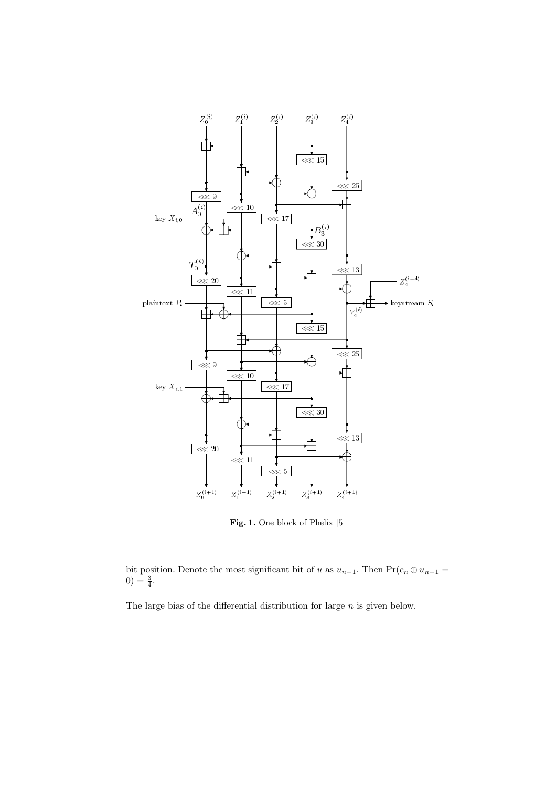

Fig. 1. One block of Phelix [5]

bit position. Denote the most significant bit of u as  $u_{n-1}$ . Then Pr( $c_n \oplus u_{n-1} =$  $0) = \frac{3}{4}.$ 

The large bias of the differential distribution for large n is given below.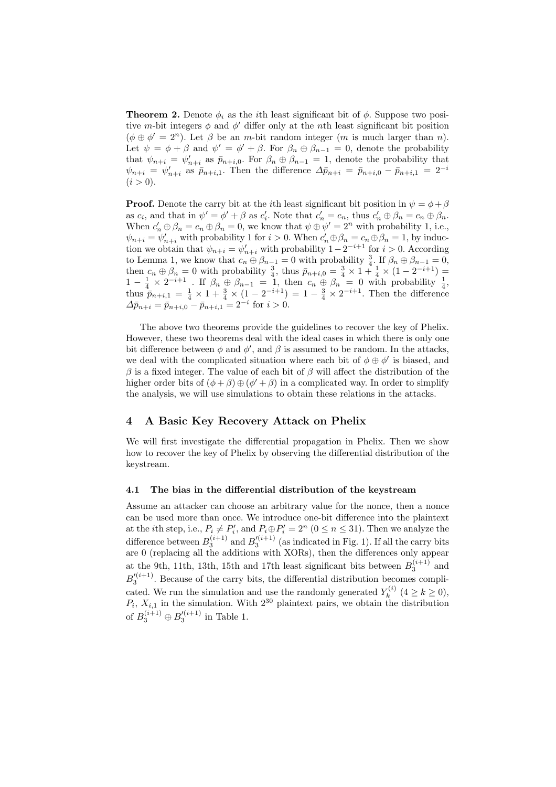**Theorem 2.** Denote  $\phi_i$  as the *i*th least significant bit of  $\phi$ . Suppose two positive m-bit integers  $\phi$  and  $\phi'$  differ only at the nth least significant bit position  $(\phi \oplus \phi' = 2^n)$ . Let  $\beta$  be an *m*-bit random integer (*m* is much larger than *n*). Let  $\psi = \phi + \beta$  and  $\psi' = \phi' + \beta$ . For  $\beta_n \oplus \beta_{n-1} = 0$ , denote the probability that  $\psi_{n+i} = \psi'_{n+i}$  as  $\bar{p}_{n+i,0}$ . For  $\beta_n \oplus \beta_{n-1} = 1$ , denote the probability that  $\psi_{n+i} = \psi'_{n+i}$  as  $\bar{p}_{n+i,1}$ . Then the difference  $\Delta \bar{p}_{n+i} = \bar{p}_{n+i,0} - \bar{p}_{n+i,1} = 2^{-i}$  $(i > 0).$ 

**Proof.** Denote the carry bit at the *i*th least significant bit position in  $\psi = \phi + \beta$ as  $c_i$ , and that in  $\psi' = \phi' + \beta$  as  $c'_i$ . Note that  $c'_n = c_n$ , thus  $c'_n \oplus \beta_n = c_n \oplus \beta_n$ . When  $c'_n \oplus \beta_n = c_n \oplus \beta_n = 0$ , we know that  $\psi \oplus \psi' = 2^n$  with probability 1, i.e.,  $\psi_{n+i} = \psi'_{n+i}$  with probability 1 for  $i > 0$ . When  $c'_n \oplus \beta_n = c_n \oplus \beta_n = 1$ , by induction we obtain that  $\psi_{n+i} = \psi'_{n+i}$  with probability  $1 - 2^{-i+1}$  for  $i > 0$ . According to Lemma 1, we know that  $c_n \oplus \beta_{n-1} = 0$  with probability  $\frac{3}{4}$ . If  $\beta_n \oplus \beta_{n-1} = 0$ , then  $c_n \oplus \beta_n = 0$  with probability  $\frac{3}{4}$ , thus  $\bar{p}_{n+i,0} = \frac{3}{4} \times 1 + \frac{1}{4} \times (1 - 2^{-i+1}) =$  $1-\frac{1}{4}\times 2^{-i+1}$ . If  $\beta_n \oplus \beta_{n-1} = 1$ , then  $c_n \oplus \beta_n = 0$  with probability  $\frac{1}{4}$ , thus  $\bar{p}_{n+i,1} = \frac{1}{4} \times 1 + \frac{3}{4} \times (1 - 2^{-i+1}) = 1 - \frac{3}{4} \times 2^{-i+1}$ . Then the difference  $\Delta \bar{p}_{n+i} = \bar{p}_{n+i,0} - \bar{p}_{n+i,1} = 2^{-i}$  for  $i > 0$ .

The above two theorems provide the guidelines to recover the key of Phelix. However, these two theorems deal with the ideal cases in which there is only one bit difference between  $\phi$  and  $\phi'$ , and  $\beta$  is assumed to be random. In the attacks, we deal with the complicated situation where each bit of  $\phi \oplus \phi'$  is biased, and  $\beta$  is a fixed integer. The value of each bit of  $\beta$  will affect the distribution of the higher order bits of  $(\phi + \beta) \oplus (\phi' + \beta)$  in a complicated way. In order to simplify the analysis, we will use simulations to obtain these relations in the attacks.

## 4 A Basic Key Recovery Attack on Phelix

We will first investigate the differential propagation in Phelix. Then we show how to recover the key of Phelix by observing the differential distribution of the keystream.

### 4.1 The bias in the differential distribution of the keystream

Assume an attacker can choose an arbitrary value for the nonce, then a nonce can be used more than once. We introduce one-bit difference into the plaintext at the *i*th step, i.e.,  $P_i \neq P'_i$ , and  $P_i \oplus P'_i = 2^n$   $(0 \leq n \leq 31)$ . Then we analyze the difference between  $B_3^{(i+1)}$  and  $B_3^{\prime(i+1)}$  (as indicated in Fig. 1). If all the carry bits are 0 (replacing all the additions with XORs), then the differences only appear at the 9th, 11th, 13th, 15th and 17th least significant bits between  $B_3^{(i+1)}$  and  $B_3^{\prime(i+1)}$ . Because of the carry bits, the differential distribution becomes complicated. We run the simulation and use the randomly generated  $Y_k^{(i)}$  $\zeta_k^{(i)}$   $(4 \ge k \ge 0),$  $P_i$ ,  $X_{i,1}$  in the simulation. With  $2^{30}$  plaintext pairs, we obtain the distribution of  $B_3^{(i+1)} \oplus B_3^{\prime (i+1)}$  in Table 1.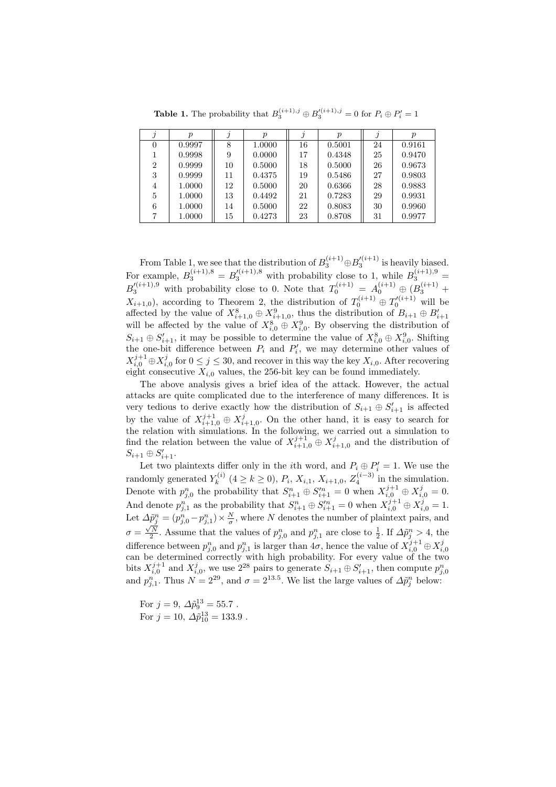| $\Omega$       | 0.9997 | 8  | 1.0000 | 16 | 0.5001 | 24 | 0.9161 |
|----------------|--------|----|--------|----|--------|----|--------|
|                | 0.9998 | 9  | 0.0000 | 17 | 0.4348 | 25 | 0.9470 |
| $\overline{2}$ | 0.9999 | 10 | 0.5000 | 18 | 0.5000 | 26 | 0.9673 |
| 3              | 0.9999 | 11 | 0.4375 | 19 | 0.5486 | 27 | 0.9803 |
| 4              | 1.0000 | 12 | 0.5000 | 20 | 0.6366 | 28 | 0.9883 |
| 5              | 1.0000 | 13 | 0.4492 | 21 | 0.7283 | 29 | 0.9931 |
| 6              | 1.0000 | 14 | 0.5000 | 22 | 0.8083 | 30 | 0.9960 |
| 7              | 1.0000 | 15 | 0.4273 | 23 | 0.8708 | 31 | 0.9977 |

**Table 1.** The probability that  $B_3^{(i+1),j} \oplus B_3'^{(i+1),j} = 0$  for  $P_i \oplus P_i' = 1$ 

From Table 1, we see that the distribution of  $B_3^{(i+1)} \oplus B_3^{\prime(i+1)}$  is heavily biased. For example,  $B_3^{(i+1),8} = B_3^{\prime(i+1),8}$  with probability close to 1, while  $B_3^{(i+1),9} =$  $B_3^{\prime(i+1),9}$  with probability close to 0. Note that  $T_0^{(i+1)} = A_0^{(i+1)} \oplus (B_3^{(i+1)} +$  $X_{i+1,0}$ ), according to Theorem 2, the distribution of  $T_0^{(i+1)} \oplus T_0^{\prime(i+1)}$  will be affected by the value of  $X_{i+1,0}^8 \oplus X_{i+1,0}^9$ , thus the distribution of  $B_{i+1} \oplus B'_{i+1}$  will be affected by the value of  $X_{i,0}^8 \oplus X_{i,0}^9$ . By observing the distribution of  $S_{i+1} \oplus S'_{i+1}$ , it may be possible to determine the value of  $X_{i,0}^8 \oplus X_{i,0}^9$ . Shifting the one-bit difference between  $P_i$  and  $P'_i$ , we may determine other values of  $X_{i,0}^{j+1} \oplus X_{i,0}^j$  for  $0 \leq j \leq 30$ , and recover in this way the key  $X_{i,0}$ . After recovering eight consecutive  $X_{i,0}$  values, the 256-bit key can be found immediately.

The above analysis gives a brief idea of the attack. However, the actual attacks are quite complicated due to the interference of many differences. It is very tedious to derive exactly how the distribution of  $S_{i+1} \oplus S'_{i+1}$  is affected by the value of  $X_{i+1,0}^{j+1} \oplus X_{i+1,0}^j$ . On the other hand, it is easy to search for the relation with simulations. In the following, we carried out a simulation to find the relation between the value of  $X_{i+1,0}^{j+1} \oplus X_{i+1,0}^j$  and the distribution of  $S_{i+1} \oplus S'_{i+1}.$ 

Let two plaintexts differ only in the *i*<sup>th</sup> word, and  $P_i \oplus P'_i = 1$ . We use the randomly generated  $Y_k^{(i)}$  $K_k^{(i)}$   $(4 \ge k \ge 0)$ ,  $P_i$ ,  $X_{i,1}$ ,  $X_{i+1,0}$ ,  $Z_4^{(i-3)}$  in the simulation. Denote with  $p_{j,0}^n$  the probability that  $S_{i+1}^n \oplus S_{i+1}^m = 0$  when  $X_{i,0}^{j+1} \oplus X_{i,0}^j = 0$ . And denote  $p_{j,1}^n$  as the probability that  $S_{i+1}^n \oplus S_{i+1}^{\prime n} = 0$  when  $X_{i,0}^{j+1} \oplus X_{i,0}^j = 1$ . Let  $\Delta \tilde{p}^n_j = (p^n_{j,0} - p^n_{j,1}) \times \frac{N}{\sigma}$ , where N denotes the number of plaintext pairs, and  $\sigma = \frac{\sqrt{N}}{2}$ . Assume that the values of  $p_{j,0}^n$  and  $p_{j,1}^n$  are close to  $\frac{1}{2}$ . If  $\Delta \tilde{p}_j^n > 4$ , the difference between  $p_{j,0}^n$  and  $p_{j,1}^n$  is larger than  $4\sigma$ , hence the value of  $X_{i,0}^{j+1} \oplus X_{i,0}^j$ can be determined correctly with high probability. For every value of the two bits  $X_{i,0}^{j+1}$  and  $X_{i,0}^j$ , we use  $2^{28}$  pairs to generate  $S_{i+1} \oplus S_{i+1}'$ , then compute  $p_{j,0}^n$ and  $p_{j,1}^n$ . Thus  $N = 2^{29}$ , and  $\sigma = 2^{13.5}$ . We list the large values of  $\Delta \tilde{p}_j^n$  below:

For  $j = 9$ ,  $\Delta \tilde{p}_9^{13} = 55.7$ . For  $j = 10$ ,  $\Delta \tilde{p}_{10}^{13} = 133.9$ .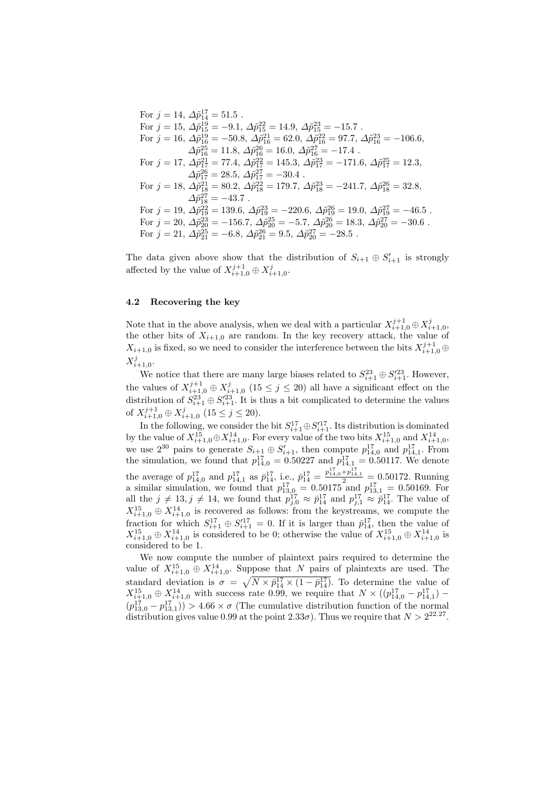For 
$$
j = 14
$$
,  $\Delta \tilde{p}_{14}^{17} = 51.5$ .  
\nFor  $j = 15$ ,  $\Delta \tilde{p}_{15}^{19} = -9.1$ ,  $\Delta \tilde{p}_{15}^{22} = 14.9$ ,  $\Delta \tilde{p}_{15}^{23} = -15.7$ .  
\nFor  $j = 16$ ,  $\Delta \tilde{p}_{16}^{10} = -50.8$ ,  $\Delta \tilde{p}_{16}^{21} = 62.0$ ,  $\Delta \tilde{p}_{16}^{22} = 97.7$ ,  $\Delta \tilde{p}_{16}^{23} = -106.6$ ,  
\n $\Delta \tilde{p}_{16}^{25} = 11.8$ ,  $\Delta \tilde{p}_{16}^{26} = 16.0$ ,  $\Delta \tilde{p}_{16}^{22} = -17.4$ .  
\nFor  $j = 17$ ,  $\Delta \tilde{p}_{17}^{21} = 77.4$ ,  $\Delta \tilde{p}_{17}^{22} = 145.3$ ,  $\Delta \tilde{p}_{17}^{23} = -171.6$ ,  $\Delta \tilde{p}_{17}^{25} = 12.3$ ,  
\n $\Delta \tilde{p}_{17}^{26} = 28.5$ ,  $\Delta \tilde{p}_{17}^{27} = -30.4$ .  
\nFor  $j = 18$ ,  $\Delta \tilde{p}_{18}^{21} = 80.2$ ,  $\Delta \tilde{p}_{18}^{27} = 179.7$ ,  $\Delta \tilde{p}_{18}^{23} = -241.7$ ,  $\Delta \tilde{p}_{18}^{26} = 32.8$ ,  
\n $\Delta \tilde{p}_{18}^{27} = -43.7$ .  
\nFor  $j = 19$ ,  $\Delta \tilde{p}_{18}^{22} = 139.6$ ,  $\Delta \tilde{p}_{19}^{23} = -220.6$ ,  $\Delta \tilde{p}_{19}^{26} = 19.0$ ,  $\Delta \tilde{p}_{1$ 

The data given above show that the distribution of  $S_{i+1} \oplus S'_{i+1}$  is strongly affected by the value of  $X_{i+1,0}^{j+1} \oplus X_{i+1,0}^j$ .

### 4.2 Recovering the key

Note that in the above analysis, when we deal with a particular  $X_{i+1,0}^{j+1} \oplus X_{i+1,0}^j$ , the other bits of  $X_{i+1,0}$  are random. In the key recovery attack, the value of  $X_{i+1,0}$  is fixed, so we need to consider the interference between the bits  $X_{i+1,0}^{j+1} \oplus$  $X_{i+1,0}^j$ .

We notice that there are many large biases related to  $S_{i+1}^{23} \oplus S_{i+1}^{23}$ . However, the values of  $X_{i+1,0}^{j+1} \oplus X_{i+1,0}^j$  (15  $\leq j \leq 20$ ) all have a significant effect on the distribution of  $S_{i+1}^{23} \oplus S_{i+1}^{23}$ . It is thus a bit complicated to determine the values of  $X_{i+1,0}^{j+1} \oplus X_{i+1,0}^j$   $(15 \le j \le 20)$ .

In the following, we consider the bit  $S_{i+1}^{17} \oplus S_{i+1}'^{17}$ . Its distribution is dominated by the value of  $X^{15}_{i+1,0} \oplus X^{14}_{i+1,0}$ . For every value of the two bits  $X^{15}_{i+1,0}$  and  $X^{14}_{i+1,0}$ , we use  $2^{30}$  pairs to generate  $S_{i+1} \oplus S'_{i+1}$ , then compute  $p_{14,0}^{17}$  and  $p_{14,1}^{17}$ . From the simulation, we found that  $p_{14,0}^{17} = 0.50227$  and  $p_{14,1}^{17} = 0.50117$ . We denote the average of  $p_{14,0}^{17}$  and  $p_{14,1}^{17}$  as  $\bar{p}_{14}^{17}$ , i.e.,  $\bar{p}_{14}^{17} = \frac{p_{14,0}^{17} + p_{14,1}^{17}}{2} = 0.50172$ . Running a similar simulation, we found that  $p_{13,0}^{17} = 0.50175$  and  $p_{13,1}^{17} = 0.50169$ . For all the  $j \neq 13, j \neq 14$ , we found that  $p_{j,0}^{17} \approx \bar{p}_{14}^{17}$  and  $p_{j,1}^{17} \approx \bar{p}_{14}^{17}$ . The value of  $X_{i+1,0}^{15} \oplus X_{i+1,0}^{14}$  is recovered as follows: from the keystreams, we compute the fraction for which  $S_{i+1}^{17} \oplus S_{i+1}'^{17} = 0$ . If it is larger than  $\bar{p}_{14}^{17}$ , then the value of  $X_{i+1,0}^{15} \oplus X_{i+1,0}^{14}$  is considered to be 0; otherwise the value of  $X_{i+1,0}^{15} \oplus X_{i+1,0}^{14}$  is considered to be 1.

We now compute the number of plaintext pairs required to determine the value of  $X_{i+1,0}^{15} \oplus X_{i+1,0}^{14}$ . Suppose that N pairs of plaintexts are used. The standard deviation is  $\sigma =$  $\mathfrak{m}$  $N \times \bar{p}_{14}^{17} \times (1 - \bar{p}_{14}^{17})$ . To determine the value of  $X_{i+1,0}^{15} \oplus X_{i+1,0}^{14}$  with success rate 0.99, we require that  $N \times (p_{14,0}^{17} - p_{14,1}^{17})$  –  $(p_{13,0}^{17} - p_{13,1}^{17})) > 4.66 \times \sigma$  (The cumulative distribution function of the normal distribution gives value 0.99 at the point  $2.33\sigma$ ). Thus we require that  $N > 2^{22.27}$ .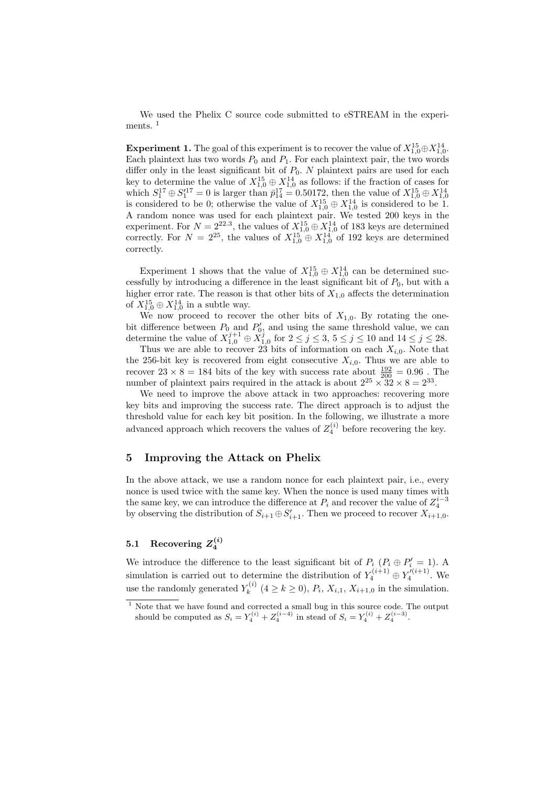We used the Phelix C source code submitted to eSTREAM in the experiments.<sup>1</sup>

**Experiment 1.** The goal of this experiment is to recover the value of  $X_{1,0}^{15} \oplus X_{1,0}^{14}$ . Each plaintext has two words  $P_0$  and  $P_1$ . For each plaintext pair, the two words differ only in the least significant bit of  $P_0$ .  $N$  plaintext pairs are used for each key to determine the value of  $X_{1,0}^{15} \oplus X_{1,0}^{14}$  as follows: if the fraction of cases for which  $S_1^{17} \oplus S_1'^{17} = 0$  is larger than  $\bar{p}_{14}^{17} = 0.50172$ , then the value of  $X_{1,0}^{15} \oplus X_{1,0}^{14}$ <br>is considered to be 0; otherwise the value of  $X_{1,0}^{15} \oplus X_{1,0}^{14}$  is considered to be 1. A random nonce was used for each plaintext pair. We tested 200 keys in the experiment. For  $N = 2^{22.3}$ , the values of  $X_{1,0}^{15} \oplus X_{1,0}^{14}$  of 183 keys are determined correctly. For  $N = 2^{25}$ , the values of  $X_{1,0}^{15} \oplus X_{1,0}^{14}$  of 192 keys are determined correctly.

Experiment 1 shows that the value of  $X_{1,0}^{15} \oplus X_{1,0}^{14}$  can be determined successfully by introducing a difference in the least significant bit of  $P_0$ , but with a higher error rate. The reason is that other bits of  $X_{1,0}$  affects the determination of  $X_{1,0}^{15} \oplus X_{1,0}^{14}$  in a subtle way.

We now proceed to recover the other bits of  $X_{1,0}$ . By rotating the onebit difference between  $P_0$  and  $P'_0$ , and using the same threshold value, we can determine the value of  $X_{1,0}^{j+1} \oplus X_{1,0}^j$  for  $2 \leq j \leq 3, 5 \leq j \leq 10$  and  $14 \leq j \leq 28$ .

Thus we are able to recover 23 bits of information on each  $X_{i,0}$ . Note that the 256-bit key is recovered from eight consecutive  $X_{i,0}$ . Thus we are able to recover  $23 \times 8 = 184$  bits of the key with success rate about  $\frac{192}{200} = 0.96$ . The number of plaintext pairs required in the attack is about  $2^{25} \times 32 \times 8 = 2^{33}$ .

We need to improve the above attack in two approaches: recovering more key bits and improving the success rate. The direct approach is to adjust the threshold value for each key bit position. In the following, we illustrate a more advanced approach which recovers the values of  $Z_4^{(i)}$  before recovering the key.

## 5 Improving the Attack on Phelix

In the above attack, we use a random nonce for each plaintext pair, i.e., every nonce is used twice with the same key. When the nonce is used many times with the same key, we can introduce the difference at  $P_i$  and recover the value of  $Z_4^{i-3}$ by observing the distribution of  $S_{i+1} \oplus S'_{i+1}$ . Then we proceed to recover  $X_{i+1,0}$ .

## 5.1 Recovering  $Z_4^{(i)}$

We introduce the difference to the least significant bit of  $P_i$  ( $P_i \oplus P'_i = 1$ ). A simulation is carried out to determine the distribution of  $Y_4^{(i+1)} \oplus Y_4^{\prime(i+1)}$ . We use the randomly generated  $Y_k^{(i)}$  $k^{(i)}$   $(4 \ge k \ge 0), P_i, X_{i,1}, X_{i+1,0}$  in the simulation.

 $1$  Note that we have found and corrected a small bug in this source code. The output should be computed as  $S_i = Y_4^{(i)} + Z_4^{(i-4)}$  in stead of  $S_i = Y_4^{(i)} + Z_4^{(i-3)}$ .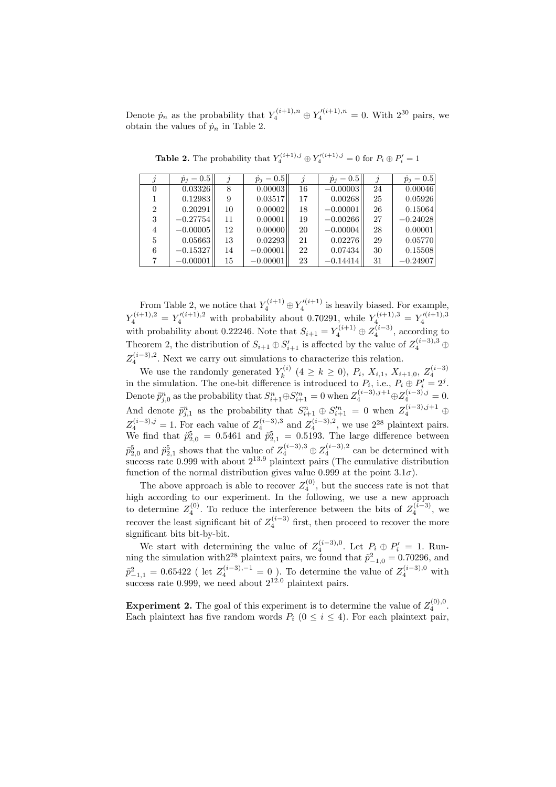Denote  $\dot{p}_n$  as the probability that  $Y_4^{(i+1),n} \oplus Y_4'^{(i+1),n} = 0$ . With  $2^{30}$  pairs, we obtain the values of  $\dot{p}_n$  in Table 2.

|                | $\dot{p}_j - 0.5$ |    | $\dot{p}_j - 0.5$ |    | $\dot{p}_i - 0.5$ |    | $\dot{p}_j - 0.5$ |
|----------------|-------------------|----|-------------------|----|-------------------|----|-------------------|
| 0              | 0.03326           | 8  | 0.00003           | 16 | $-0.00003$        | 24 | 0.00046           |
|                | 0.12983           | 9  | 0.03517           | 17 | 0.00268           | 25 | 0.05926           |
| $\overline{2}$ | 0.20291           | 10 | 0.00002           | 18 | $-0.00001$        | 26 | 0.15064           |
| 3              | $-0.27754$        | 11 | 0.00001           | 19 | $-0.00266$        | 27 | $-0.24028$        |
| 4              | $-0.00005$        | 12 | 0.00000           | 20 | $-0.00004$        | 28 | 0.00001           |
| 5              | 0.05663           | 13 | 0.02293           | 21 | 0.02276           | 29 | 0.05770           |
| 6              | $-0.15327$        | 14 | $-0.00001$        | 22 | 0.07434           | 30 | 0.15508           |
|                | $-0.00001$        | 15 | $-0.00001$        | 23 | $-0.14414$        | 31 | $-0.24907$        |

**Table 2.** The probability that  $Y_4^{(i+1),j} \oplus Y_4'^{(i+1),j} = 0$  for  $P_i \oplus P_i' = 1$ 

From Table 2, we notice that  $Y_4^{(i+1)} \oplus Y_4'^{(i+1)}$  is heavily biased. For example,  $Y_4^{(i+1),2} = Y_4'^{(i+1),2}$  with probability about 0.70291, while  $Y_4^{(i+1),3} = Y_4'^{(i+1),3}$ with probability about 0.22246. Note that  $S_{i+1} = Y_4^{(i+1)} \oplus Z_4^{(i-3)}$ , according to Theorem 2, the distribution of  $S_{i+1} \oplus S'_{i+1}$  is affected by the value of  $Z_4^{(i-3),3}$   $\oplus$  $Z_4^{(i-3),2}$ . Next we carry out simulations to characterize this relation.

We use the randomly generated  $Y_k^{(i)}$ We use the randomly generated  $Y_k^{(i)}$   $(4 \ge k \ge 0)$ ,  $P_i$ ,  $X_{i,1}$ ,  $X_{i+1,0}$ ,  $Z_4^{(i-3)}$ <br>in the simulation. The one-bit difference is introduced to  $P_i$ , i.e.,  $P_i \oplus P'_i = 2^j$ . Denote  $\ddot{p}_{j,0}^n$  as the probability that  $S_{i+1}^n \oplus S_{i+1}'^n = 0$  when  $Z_4^{(i-3),j+1} \oplus Z_4^{(i-3),j} = 0$ . And denote  $\ddot{p}_{j,1}^n$  as the probability that  $S_{i+1}^n \oplus S_{i+1}^m = 0$  when  $Z_4^{(i-3),j+1} \oplus$  $Z_4^{(i-3),j} = 1$ . For each value of  $Z_4^{(i-3),3}$  and  $Z_4^{(i-3),2}$ , we use  $2^{28}$  plaintext pairs. We find that  $\ddot{p}_{2,0}^5 = 0.5461$  and  $\ddot{p}_{2,1}^5 = 0.5193$ . The large difference between  $\ddot{p}_{2,0}^5$  and  $\ddot{p}_{2,1}^5$  shows that the value of  $Z_4^{(i-3),3} \oplus Z_4^{(i-3),2}$  can be determined with success rate 0.999 with about  $2^{13.9}$  plaintext pairs (The cumulative distribution function of the normal distribution gives value 0.999 at the point  $3.1\sigma$ ).

The above approach is able to recover  $Z_4^{(0)}$ , but the success rate is not that high according to our experiment. In the following, we use a new approach to determine  $Z_4^{(0)}$ . To reduce the interference between the bits of  $Z_4^{(i-3)}$ , we recover the least significant bit of  $Z_4^{(i-3)}$  first, then proceed to recover the more significant bits bit-by-bit.

We start with determining the value of  $Z_4^{(i-3),0}$ . Let  $P_i \oplus P'_i = 1$ . Running the simulation with  $2^{28}$  plaintext pairs, we found that  $\ddot{p}_{-1,0}^2 = 0.70296$ , and  $\ddot{p}^2_{-1,1} = 0.65422$  (let  $Z_4^{(i-3),-1} = 0$ ). To determine the value of  $Z_4^{(i-3),0}$  with success rate 0.999, we need about  $2^{12.0}$  plaintext pairs.

**Experiment 2.** The goal of this experiment is to determine the value of  $Z_4^{(0),0}$ . Each plaintext has five random words  $P_i$  ( $0 \le i \le 4$ ). For each plaintext pair,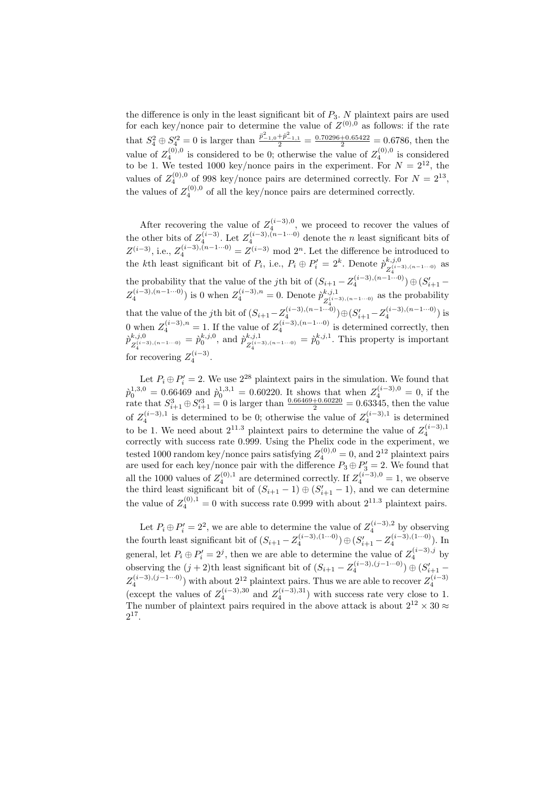the difference is only in the least significant bit of  $P_3$ . N plaintext pairs are used for each key/nonce pair to determine the value of  $Z^{(0),0}$  as follows: if the rate that  $S_4^2 \oplus S_4'^2 = 0$  is larger than  $\frac{\ddot{p}_{-1,0}^2 + \ddot{p}_{-1,1}^2}{2} = \frac{0.70296 + 0.65422}{2} = 0.6786$ , then the value of  $Z_4^{(0),0}$  is considered to be 0; otherwise the value of  $Z_4^{(0),0}$  is considered to be 1. We tested 1000 key/nonce pairs in the experiment. For  $N = 2^{12}$ , the values of  $Z_4^{(0),0}$  of 998 key/nonce pairs are determined correctly. For  $N = 2^{13}$ , the values of  $Z_4^{(0),0}$  of all the key/nonce pairs are determined correctly.

After recovering the value of  $Z_4^{(i-3),0}$ , we proceed to recover the values of the other bits of  $Z_4^{(i-3)}$ . Let  $Z_4^{(i-3),(n-1\cdots 0)}$  denote the *n* least significant bits of  $Z^{(i-3)}$ , i.e.,  $Z_4^{(i-3),(n-1\cdots 0)} = Z^{(i-3)} \mod 2^n$ . Let the difference be introduced to the kth least significant bit of  $P_i$ , i.e.,  $P_i \oplus P'_i = 2^k$ . Denote  $\hat{p}_{z(i-1)}^{k,j,0}$  $z_4^{(i-3),(n-1...0)}$  as the probability that the value of the *j*th bit of  $(S_{i+1} - Z_4^{(i-3),(n-1\cdots 0)}) \oplus (S'_{i+1} Z_4^{(i-3),(n-1\cdots 0)}$  is 0 when  $Z_4^{(i-3),n} = 0$ . Denote  $\hat{p}_{Z^{(i-1)}}^{k,j,1}$  $\mathbb{Z}_4^{(i-3),(n-1\cdots 0)}$  as the probability that the value of the jth bit of  $(S_{i+1} - Z_4^{(i-3),(n-1\cdots 0)}) \oplus (S_{i+1}' - Z_4^{(i-3),(n-1\cdots 0)})$  is 0 when  $Z_4^{(i-3),n} = 1$ . If the value of  $Z_4^{(i-3),(n-1\cdots 0)}$  is determined correctly, then  $\hat{p}_{\sigma(i)}^{k,j,0}$  $\chi_{Z_4^{(i-3),(n-1\cdots 0)}}^{k,j,0} = \dot{p}_0^{k,j,0}, \text{ and } \dot{p}_{Z_4^{(i-1)}}^{k,j,1}$  $z_4^{k,j,1}$ ,  $z_4^{(i-3),(n-1...0)} = \dot{p}_0^{k,j,1}$ . This property is important for recovering  $Z_4^{(i-3)}$ .  $(i-3)$ 

Let  $P_i \oplus P'_i = 2$ . We use  $2^{28}$  plaintext pairs in the simulation. We found that  $\hat{p}_0^{1,3,0} = 0.66469$  and  $\hat{p}_0^{1,3,1} = 0.60220$ . It shows that when  $Z_4^{(i-3),0} = 0$ , if the rate that  $S_{i+1}^3 \oplus S_{i+1}'^3 = 0$  is larger than  $\frac{0.66469 + 0.60220}{2} = 0.63345$ , then the value of  $Z_4^{(i-3),1}$  is determined to be 0; otherwise the value of  $Z_4^{(i-3),1}$  is determined to be 1. We need about  $2^{11.3}$  plaintext pairs to determine the value of  $Z_4^{(i-3),1}$ correctly with success rate 0.999. Using the Phelix code in the experiment, we tested 1000 random key/nonce pairs satisfying  $Z_4^{(0),0} = 0$ , and  $2^{12}$  plaintext pairs are used for each key/nonce pair with the difference  $P_3 \oplus P_3' = 2$ . We found that all the 1000 values of  $Z_4^{(0),1}$  are determined correctly. If  $Z_4^{(i-3),0} = 1$ , we observe the third least significant bit of  $(S_{i+1} - 1) \oplus (S'_{i+1} - 1)$ , and we can determine the value of  $Z_4^{(0),1} = 0$  with success rate 0.999 with about  $2^{11.3}$  plaintext pairs.

Let  $P_i \oplus P'_i = 2^2$ , we are able to determine the value of  $Z_4^{(i-3),2}$  by observing the fourth least significant bit of  $(S_{i+1} - Z_4^{(i-3),(1...0)}) \oplus (S'_{i+1} - Z_4^{(i-3),(1...0)})$ . In general, let  $P_i \oplus P'_i = 2^j$ , then we are able to determine the value of  $Z_4^{(i-3),j}$  by observing the  $(j + 2)$ th least significant bit of  $(S_{i+1} - Z_4^{(i-3),(j-1\cdots 0)}) \oplus (S'_{i+1} Z_4^{(i-3),(j-1\cdots 0)}$  with about  $2^{12}$  plaintext pairs. Thus we are able to recover  $Z_4^{(i-3)}$ (except the values of  $Z_4^{(i-3),30}$  and  $Z_4^{(i-3),31}$ ) with success rate very close to 1. The number of plaintext pairs required in the above attack is about  $2^{12} \times 30 \approx$  $2^{17}$ .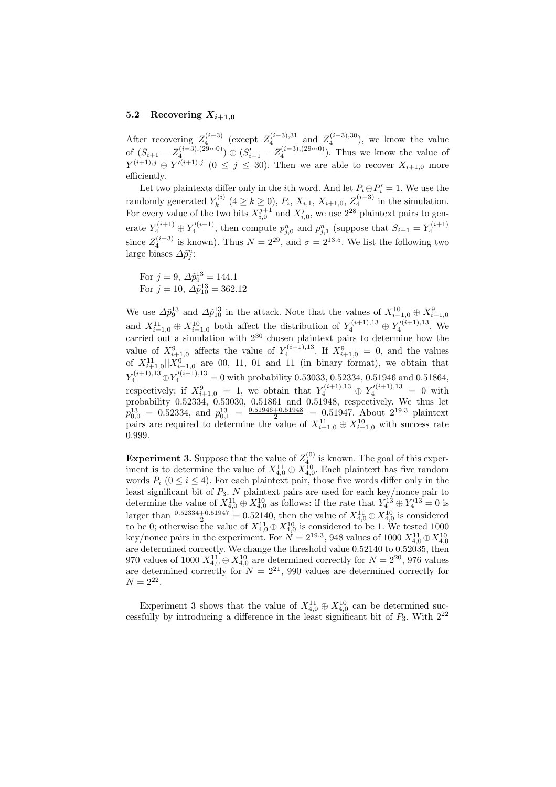#### 5.2 Recovering  $X_{i+1,0}$

After recovering  $Z_4^{(i-3)}$  (except  $Z_4^{(i-3),31}$  and  $Z_4^{(i-3),30}$ ), we know the value of  $(S_{i+1} - Z_4^{(i-3),(29\cdots 0)}) \oplus (S_{i+1}' - Z_4^{(i-3),(29\cdots 0)})$ . Thus we know the value of  $Y^{(i+1),j} \oplus Y'^{(i+1),j}$   $(0 \leq j \leq 30)$ . Then we are able to recover  $X_{i+1,0}$  more efficiently.

Let two plaintexts differ only in the *i*<sup>th</sup> word. And let  $P_i \oplus P'_i = 1$ . We use the randomly generated  $Y_k^{(i)}$  $K_k^{(i)}$   $(4 \ge k \ge 0)$ ,  $P_i$ ,  $X_{i,1}$ ,  $X_{i+1,0}$ ,  $Z_4^{(i-3)}$  in the simulation. For every value of the two bits  $X_{i,0}^{j+1}$  and  $X_{i,0}^j$ , we use  $2^{28}$  plaintext pairs to generate  $Y_4^{(i+1)} \oplus Y_4'^{(i+1)}$ , then compute  $p_{j,0}^n$  and  $p_{j,1}^n$  (suppose that  $S_{i+1} = Y_4^{(i+1)}$ since  $Z_4^{(i-3)}$  is known). Thus  $N = 2^{29}$ , and  $\sigma = 2^{13.5}$ . We list the following two large biases  $\Delta \tilde{p}_j^n$ :

For 
$$
j = 9
$$
,  $\Delta \tilde{p}_9^{13} = 144.1$   
For  $j = 10$ ,  $\Delta \tilde{p}_{10}^{13} = 362.12$ 

We use  $\Delta \tilde{p}_9^{13}$  and  $\Delta \tilde{p}_{10}^{13}$  in the attack. Note that the values of  $X_{i+1,0}^{10} \oplus X_{i+1,0}^9$ and  $X_{i+1,0}^{11} \oplus X_{i+1,0}^{10}$  both affect the distribution of  $Y_4^{(i+1),13} \oplus Y_4^{\prime(i+1),13}$ . We carried out a simulation with 2<sup>30</sup> chosen plaintext pairs to determine how the value of  $X_{i+1,0}^{9}$  affects the value of  $Y_4^{(i+1),13}$ . If  $X_{i+1,0}^{9} = 0$ , and the values of  $X_{i+1,0}^{11}||X_{i+1,0}^{0}$  are 00, 11, 01 and 11 (in binary format), we obtain that  $Y_4^{(i+1),13} \oplus Y_4^{\prime(i+1),13} = 0$  with probability 0.53033, 0.52334, 0.51946 and 0.51864, respectively; if  $X_{i+1,0}^9 = 1$ , we obtain that  $Y_4^{(i+1),13} \oplus Y_4^{\prime(i+1),13} = 0$  with probability 0.52334, 0.53030, 0.51861 and 0.51948, respectively. We thus let  $p_{0,0}^{13} = 0.52334$ , and  $p_{0,1}^{13} = \frac{0.51946 + 0.51948}{2} = 0.51947$ . About  $2^{19.3}$  plaintext pairs are required to determine the value of  $X_{i+1,0}^{11} \oplus X_{i+1,0}^{10}$  with success rate 0.999.

**Experiment 3.** Suppose that the value of  $Z_4^{(0)}$  is known. The goal of this experiment is to determine the value of  $X_{4,0}^{11} \oplus X_{4,0}^{10}$ . Each plaintext has five random words  $P_i$  ( $0 \le i \le 4$ ). For each plaintext pair, those five words differ only in the least significant bit of  $P_3$ . N plaintext pairs are used for each key/nonce pair to determine the value of  $X_{4,0}^{11} \oplus X_{4,0}^{10}$  as follows: if the rate that  $Y_4^{13} \oplus Y_4'^{13} = 0$  is larger than  $\frac{0.52334+0.51947}{2} = 0.52140$ , then the value of  $X_{4,0}^{11} \oplus X_{4,0}^{10}$  is considered to be 0; otherwise the value of  $X_{4,0}^{11} \oplus X_{4,0}^{10}$  is considered to be 1. We tested 1000 key/nonce pairs in the experiment. For  $N = 2^{19.3}$ , 948 values of 1000  $X_{4,0}^{11} \oplus X_{4,0}^{10}$ are determined correctly. We change the threshold value 0.52140 to 0.52035, then 970 values of 1000  $X_{4,0}^{11} \oplus X_{4,0}^{10}$  are determined correctly for  $N = 2^{20}$ , 976 values are determined correctly for  $N = 2^{21}$ , 990 values are determined correctly for  $N = 2^{22}$ .

Experiment 3 shows that the value of  $X_{4,0}^{11} \oplus X_{4,0}^{10}$  can be determined successfully by introducing a difference in the least significant bit of  $P_3$ . With  $2^{22}$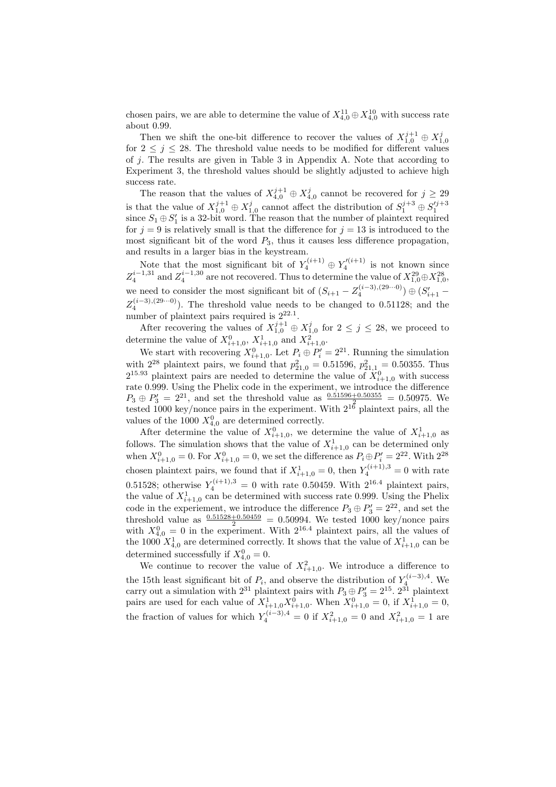chosen pairs, we are able to determine the value of  $X_{4,0}^{11} \oplus X_{4,0}^{10}$  with success rate about 0.99.

Then we shift the one-bit difference to recover the values of  $X_{1,0}^{j+1} \oplus X_{1,0}^j$ for  $2 \leq j \leq 28$ . The threshold value needs to be modified for different values of  $i$ . The results are given in Table 3 in Appendix A. Note that according to Experiment 3, the threshold values should be slightly adjusted to achieve high success rate.

The reason that the values of  $X_{4,0}^{j+1} \oplus X_{4,0}^j$  cannot be recovered for  $j \geq 29$ is that the value of  $X_{1,0}^{j+1} \oplus X_{1,0}^j$  cannot affect the distribution of  $S_1^{j+3} \oplus S_1^{j+3}$ since  $S_1 \oplus S_1'$  is a 32-bit word. The reason that the number of plaintext required for  $j = 9$  is relatively small is that the difference for  $j = 13$  is introduced to the most significant bit of the word  $P_3$ , thus it causes less difference propagation, and results in a larger bias in the keystream.

Note that the most significant bit of  $Y_4^{(i+1)} \oplus Y_4^{\prime(i+1)}$  is not known since  $Z_4^{i-1,31}$  and  $Z_4^{i-1,30}$  are not recovered. Thus to determine the value of  $X_{1,0}^{29} \oplus X_{1,0}^{28}$ , we need to consider the most significant bit of  $(S_{i+1} - Z_4^{(i-3),(29\cdots0)}) \oplus (S'_{i+1} Z_4^{(i-3),(29\cdots0)}$ ). The threshold value needs to be changed to 0.51128; and the number of plaintext pairs required is  $2^{22.1}$ .

After recovering the values of  $X_{1,0}^{j+1} \oplus X_{1,0}^j$  for  $2 \leq j \leq 28$ , we proceed to determine the value of  $X_{i+1,0}^0$ ,  $X_{i+1,0}^1$  and  $X_{i+1,0}^2$ .

We start with recovering  $X_{i+1,0}^0$ . Let  $P_i \oplus P'_i = 2^{21}$ . Running the simulation with  $2^{28}$  plaintext pairs, we found that  $p_{21,0}^2 = 0.51596, p_{21,1}^2 = 0.50355$ . Thus  $2^{15.93}$  plaintext pairs are needed to determine the value of  $\dot{X}_{i+1,0}^0$  with success rate 0.999. Using the Phelix code in the experiment, we introduce the difference  $P_3 \oplus P_3' = 2^{21}$ , and set the threshold value as  $\frac{0.51596 + 0.50355}{2} = 0.50975$ . We tested 1000 key/nonce pairs in the experiment. With  $2^{16}$  plaintext pairs, all the values of the 1000  $X_{4,0}^0$  are determined correctly.

After determine the value of  $X_{i+1,0}^0$ , we determine the value of  $X_{i+1,0}^1$  as follows. The simulation shows that the value of  $X_{i+1,0}^1$  can be determined only when  $X_{i+1,0}^0 = 0$ . For  $X_{i+1,0}^0 = 0$ , we set the difference as  $P_i \oplus P'_i = 2^{22}$ . With  $2^{28}$ chosen plaintext pairs, we found that if  $X_{i+1,0}^1 = 0$ , then  $Y_4^{(i+1),3} = 0$  with rate 0.51528; otherwise  $Y_4^{(i+1),3} = 0$  with rate 0.50459. With  $2^{16.4}$  plaintext pairs, the value of  $X_{i+1,0}^1$  can be determined with success rate 0.999. Using the Phelix code in the experiement, we introduce the difference  $P_3 \oplus P'_3 = 2^{22}$ , and set the threshold value as  $\frac{0.51528 + 0.50459}{2} = 0.50994$ . We tested 1000 key/nonce pairs with  $X_{4,0}^0 = 0$  in the experiment. With  $2^{16.4}$  plaintext pairs, all the values of the 1000  $X_{4,0}^1$  are determined correctly. It shows that the value of  $X_{i+1,0}^1$  can be determined successfully if  $X_{4,0}^0 = 0$ .

We continue to recover the value of  $X_{i+1,0}^2$ . We introduce a difference to the 15th least significant bit of  $P_i$ , and observe the distribution of  $Y_4^{(i-3),4}$ . We carry out a simulation with  $2^{31}$  plaintext pairs with  $P_3 \oplus P'_3 = 2^{15}$ .  $2^{31}$  plaintext pairs are used for each value of  $X_{i+1,0}^1 X_{i+1,0}^0$ . When  $X_{i+1,0}^0 = 0$ , if  $X_{i+1,0}^1 = 0$ , the fraction of values for which  $Y_4^{(i-3),4} = 0$  if  $X_{i+1,0}^2 = 0$  and  $X_{i+1,0}^2 = 1$  are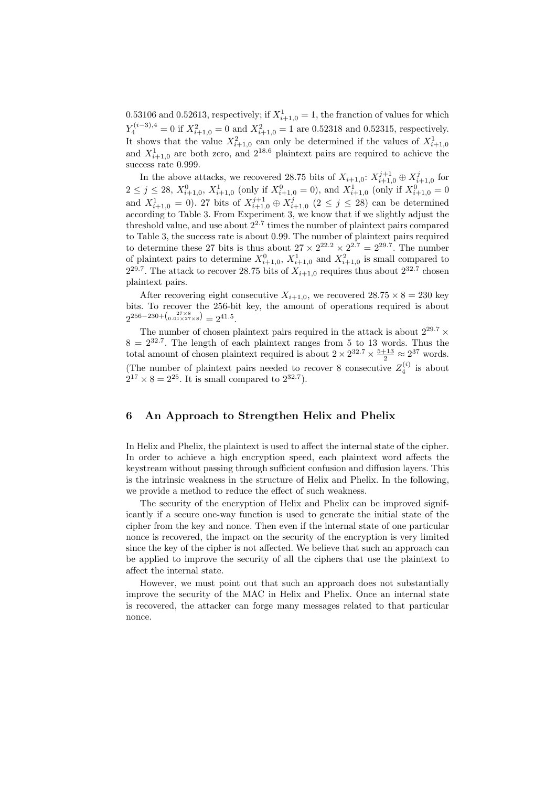0.53106 and 0.52613, respectively; if  $X_{i+1,0}^1 = 1$ , the franction of values for which  $Y_4^{(i-3),4} = 0$  if  $X_{i+1,0}^2 = 0$  and  $X_{i+1,0}^2 = 1$  are 0.52318 and 0.52315, respectively. It shows that the value  $X_{i+1,0}^2$  can only be determined if the values of  $X_{i+1,0}^1$  and  $X_{i+1,0}^1$  are both zero, and  $2^{18.6}$  plaintext pairs are required to achieve the success rate 0.999.

In the above attacks, we recovered 28.75 bits of  $X_{i+1,0}$ :  $X_{i+1,0}^{j+1} \oplus X_{i+1,0}^{j}$  for  $2 \leq j \leq 28$ ,  $X_{i+1,0}^0$ ,  $X_{i+1,0}^1$  (only if  $X_{i+1,0}^0 = 0$ ), and  $X_{i+1,0}^1$  (only if  $X_{i+1,0}^0 = 0$ and  $X_{i+1,0}^1 = 0$ ). 27 bits of  $X_{i+1,0}^{j+1} \oplus X_{i+1,0}^j$  ( $2 \leq j \leq 28$ ) can be determined according to Table 3. From Experiment 3, we know that if we slightly adjust the threshold value, and use about  $2^{2.7}$  times the number of plaintext pairs compared to Table 3, the success rate is about 0.99. The number of plaintext pairs required to determine these 27 bits is thus about  $27 \times 2^{22.2} \times 2^{2.7} = 2^{29.7}$ . The number of plaintext pairs to determine  $X_{i+1,0}^0$ ,  $X_{i+1,0}^1$  and  $X_{i+1,0}^2$  is small compared to  $2^{29.7}$ . The attack to recover 28.75 bits of  $X_{i+1,0}$  requires thus about  $2^{32.7}$  chosen plaintext pairs.

After recovering eight consecutive  $X_{i+1,0}$ , we recovered  $28.75 \times 8 = 230$  key bits. To recover the 256-bit key, the amount of operations required is about  $2^{256-230+ \binom{27\times8}{0.01\times27\times8}} = 2^{41.5}.$ 

The number of chosen plaintext pairs required in the attack is about  $2^{29.7} \times$  $8 = 2^{32.7}$ . The length of each plaintext ranges from 5 to 13 words. Thus the total amount of chosen plaintext required is about  $2 \times 2^{32.7} \times \frac{5+13}{2} \approx 2^{37}$  words. (The number of plaintext pairs needed to recover 8 consecutive  $Z_4^{(i)}$  is about  $2^{17} \times 8 = 2^{25}$ . It is small compared to  $2^{32.7}$ ).

## 6 An Approach to Strengthen Helix and Phelix

In Helix and Phelix, the plaintext is used to affect the internal state of the cipher. In order to achieve a high encryption speed, each plaintext word affects the keystream without passing through sufficient confusion and diffusion layers. This is the intrinsic weakness in the structure of Helix and Phelix. In the following, we provide a method to reduce the effect of such weakness.

The security of the encryption of Helix and Phelix can be improved significantly if a secure one-way function is used to generate the initial state of the cipher from the key and nonce. Then even if the internal state of one particular nonce is recovered, the impact on the security of the encryption is very limited since the key of the cipher is not affected. We believe that such an approach can be applied to improve the security of all the ciphers that use the plaintext to affect the internal state.

However, we must point out that such an approach does not substantially improve the security of the MAC in Helix and Phelix. Once an internal state is recovered, the attacker can forge many messages related to that particular nonce.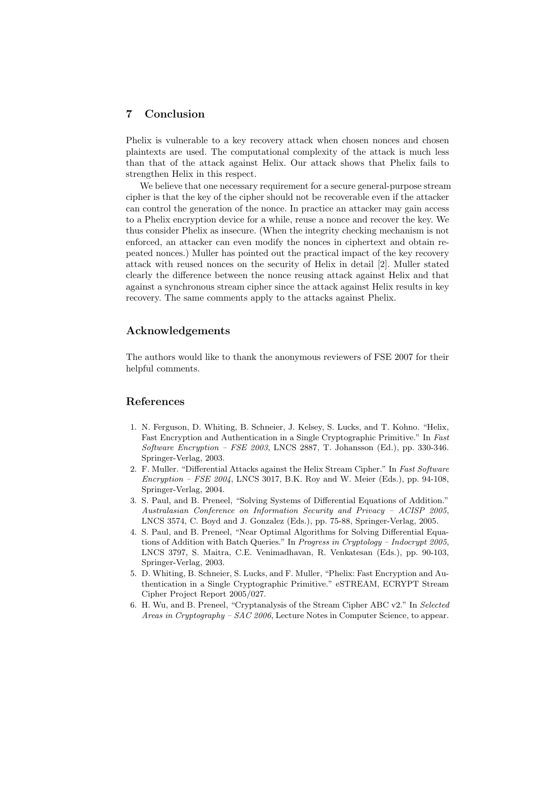## 7 Conclusion

Phelix is vulnerable to a key recovery attack when chosen nonces and chosen plaintexts are used. The computational complexity of the attack is much less than that of the attack against Helix. Our attack shows that Phelix fails to strengthen Helix in this respect.

We believe that one necessary requirement for a secure general-purpose stream cipher is that the key of the cipher should not be recoverable even if the attacker can control the generation of the nonce. In practice an attacker may gain access to a Phelix encryption device for a while, reuse a nonce and recover the key. We thus consider Phelix as insecure. (When the integrity checking mechanism is not enforced, an attacker can even modify the nonces in ciphertext and obtain repeated nonces.) Muller has pointed out the practical impact of the key recovery attack with reused nonces on the security of Helix in detail [2]. Muller stated clearly the difference between the nonce reusing attack against Helix and that against a synchronous stream cipher since the attack against Helix results in key recovery. The same comments apply to the attacks against Phelix.

### Acknowledgements

The authors would like to thank the anonymous reviewers of FSE 2007 for their helpful comments.

## References

- 1. N. Ferguson, D. Whiting, B. Schneier, J. Kelsey, S. Lucks, and T. Kohno. "Helix, Fast Encryption and Authentication in a Single Cryptographic Primitive." In Fast Software Encryption – FSE 2003, LNCS 2887, T. Johansson (Ed.), pp. 330-346. Springer-Verlag, 2003.
- 2. F. Muller. "Differential Attacks against the Helix Stream Cipher." In Fast Software Encryption – FSE 2004, LNCS 3017, B.K. Roy and W. Meier (Eds.), pp. 94-108, Springer-Verlag, 2004.
- 3. S. Paul, and B. Preneel, "Solving Systems of Differential Equations of Addition." Australasian Conference on Information Security and Privacy – ACISP 2005, LNCS 3574, C. Boyd and J. Gonzalez (Eds.), pp. 75-88, Springer-Verlag, 2005.
- 4. S. Paul, and B. Preneel, "Near Optimal Algorithms for Solving Differential Equations of Addition with Batch Queries." In Progress in Cryptology - Indocrypt 2005, LNCS 3797, S. Maitra, C.E. Venimadhavan, R. Venkatesan (Eds.), pp. 90-103, Springer-Verlag, 2003.
- 5. D. Whiting, B. Schneier, S. Lucks, and F. Muller, "Phelix: Fast Encryption and Authentication in a Single Cryptographic Primitive." eSTREAM, ECRYPT Stream Cipher Project Report 2005/027.
- 6. H. Wu, and B. Preneel, "Cryptanalysis of the Stream Cipher ABC v2." In Selected Areas in Cryptography – SAC 2006, Lecture Notes in Computer Science, to appear.